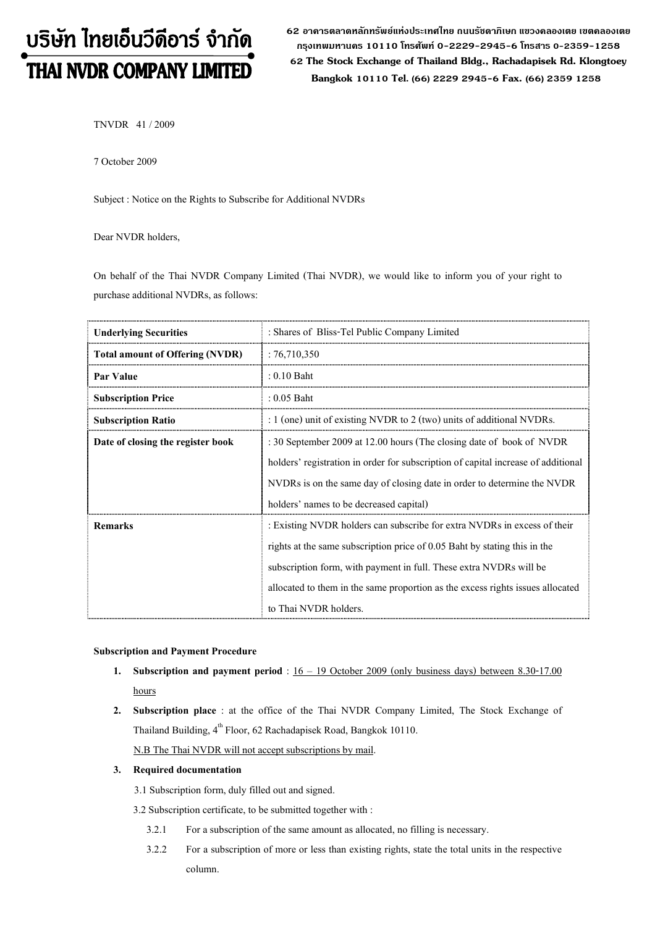# ีบริษัท ไทยเอ็นวีดีอาร์ จำกัด THAI NVDR COMPANY LIMITED

62 อาดารตลาดหลักทรัพย์แห่งประเทศไทย ถนนรัซดาภิเษก แขวงดลองเตย เขตดลองเตย กรุงเทพมหานดร 10110 โทรศัพท์ 0-2229-2945-6 โทรสาร 0-2359-1258 62 The Stock Exchange of Thailand Bldg., Rachadapisek Rd. Klongtoey Bangkok 10110 Tel. (66) 2229 2945-6 Fax. (66) 2359 1258

TNVDR 41 / 2009

7 October 2009

Subject : Notice on the Rights to Subscribe for Additional NVDRs

Dear NVDR holders,

On behalf of the Thai NVDR Company Limited (Thai NVDR), we would like to inform you of your right to purchase additional NVDRs, as follows:

| <b>Underlying Securities</b>           | : Shares of Bliss-Tel Public Company Limited                                                                                                                                                                                                                                                                                             |
|----------------------------------------|------------------------------------------------------------------------------------------------------------------------------------------------------------------------------------------------------------------------------------------------------------------------------------------------------------------------------------------|
| <b>Total amount of Offering (NVDR)</b> | :76,710,350                                                                                                                                                                                                                                                                                                                              |
| <b>Par Value</b>                       | $: 0.10$ Baht                                                                                                                                                                                                                                                                                                                            |
| <b>Subscription Price</b>              | $: 0.05$ Baht                                                                                                                                                                                                                                                                                                                            |
| <b>Subscription Ratio</b>              | : 1 (one) unit of existing NVDR to 2 (two) units of additional NVDRs.                                                                                                                                                                                                                                                                    |
| Date of closing the register book      | : 30 September 2009 at 12.00 hours (The closing date of book of NVDR<br>holders' registration in order for subscription of capital increase of additional<br>NVDRs is on the same day of closing date in order to determine the NVDR<br>holders' names to be decreased capital)                                                          |
| <b>Remarks</b>                         | : Existing NVDR holders can subscribe for extra NVDRs in excess of their<br>rights at the same subscription price of $0.05$ Baht by stating this in the<br>subscription form, with payment in full. These extra NVDRs will be<br>allocated to them in the same proportion as the excess rights issues allocated<br>to Thai NVDR holders. |

#### Subscription and Payment Procedure

- 1. Subscription and payment period :  $16 19$  October 2009 (only business days) between 8.30-17.00 hours
- 2. Subscription place : at the office of the Thai NVDR Company Limited, The Stock Exchange of Thailand Building,  $4^{\text{th}}$  Floor, 62 Rachadapisek Road, Bangkok 10110.

N.B The Thai NVDR will not accept subscriptions by mail.

## 3. Required documentation

3.1 Subscription form, duly filled out and signed.

3.2 Subscription certificate, to be submitted together with :

- 3.2.1 For a subscription of the same amount as allocated, no filling is necessary.
- 3.2.2 For a subscription of more or less than existing rights, state the total units in the respective column.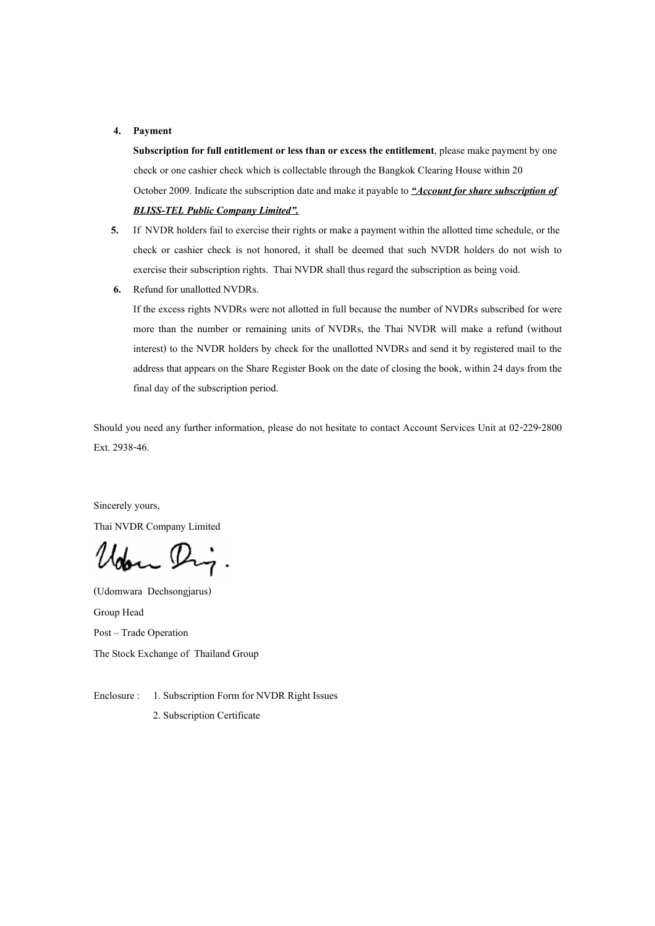#### 4. Payment

Subscription for full entitlement or less than or excess the entitlement, please make payment by one check or one cashier check which is collectable through the Bangkok Clearing House within 20 October 2009. Indicate the subscription date and make it payable to "Account for share subscription of **BLISS-TEL Public Company Limited".** 

- 5. If NVDR holders fail to exercise their rights or make a payment within the allotted time schedule, or the check or cashier check is not honored, it shall be deemed that such NVDR holders do not wish to exercise their subscription rights. Thai NVDR shall thus regard the subscription as being void.
- 6. Refund for unallotted NVDRs.

If the excess rights NVDRs were not allotted in full because the number of NVDRs subscribed for were more than the number or remaining units of NVDRs, the Thai NVDR will make a refund (without interest) to the NVDR holders by check for the unallotted NVDRs and send it by registered mail to the address that appears on the Share Register Book on the date of closing the book, within 24 days from the final day of the subscription period.

Should you need any further information, please do not hesitate to contact Account Services Unit at 02-229-2800 Ext. 2938-46.

Sincerely yours,

Thai NVDR Company Limited

Udou Dig.

(Udomwara Dechsongjarus) Group Head Post - Trade Operation The Stock Exchange of Thailand Group

Enclosure : 1. Subscription Form for NVDR Right Issues

2. Subscription Certificate